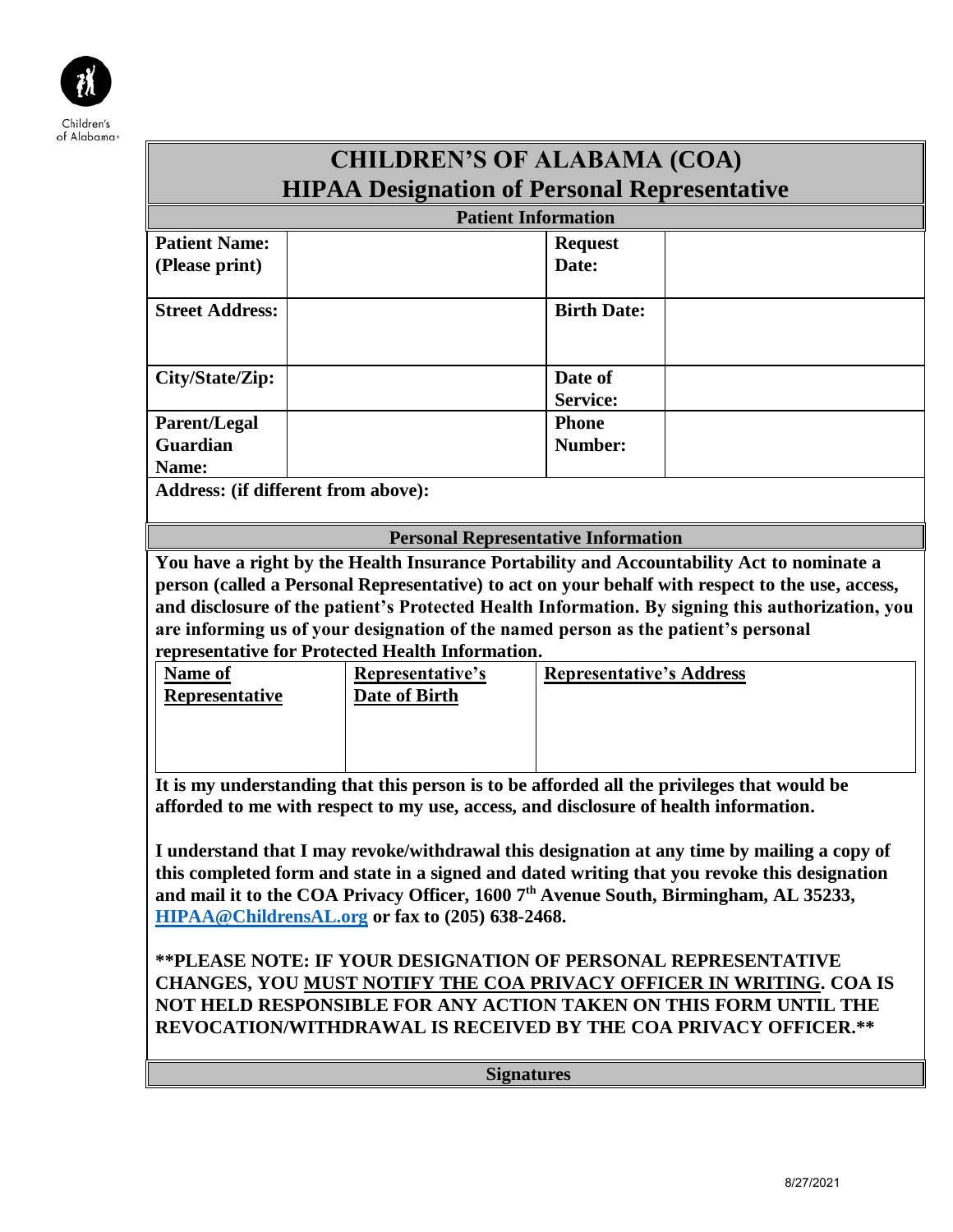

|                                                                                                                                                                                                                                                                                    | <b>CHILDREN'S OF ALABAMA (COA)</b>                                                                                                                                                 |                                 |                                                                                                                                                                                                      |  |  |
|------------------------------------------------------------------------------------------------------------------------------------------------------------------------------------------------------------------------------------------------------------------------------------|------------------------------------------------------------------------------------------------------------------------------------------------------------------------------------|---------------------------------|------------------------------------------------------------------------------------------------------------------------------------------------------------------------------------------------------|--|--|
| <b>HIPAA Designation of Personal Representative</b>                                                                                                                                                                                                                                |                                                                                                                                                                                    |                                 |                                                                                                                                                                                                      |  |  |
| <b>Patient Information</b>                                                                                                                                                                                                                                                         |                                                                                                                                                                                    |                                 |                                                                                                                                                                                                      |  |  |
| <b>Patient Name:</b>                                                                                                                                                                                                                                                               |                                                                                                                                                                                    | <b>Request</b>                  |                                                                                                                                                                                                      |  |  |
| (Please print)                                                                                                                                                                                                                                                                     |                                                                                                                                                                                    | Date:                           |                                                                                                                                                                                                      |  |  |
| <b>Street Address:</b>                                                                                                                                                                                                                                                             |                                                                                                                                                                                    | <b>Birth Date:</b>              |                                                                                                                                                                                                      |  |  |
| City/State/Zip:                                                                                                                                                                                                                                                                    |                                                                                                                                                                                    | Date of<br><b>Service:</b>      |                                                                                                                                                                                                      |  |  |
| <b>Parent/Legal</b>                                                                                                                                                                                                                                                                |                                                                                                                                                                                    | <b>Phone</b>                    |                                                                                                                                                                                                      |  |  |
| <b>Guardian</b>                                                                                                                                                                                                                                                                    |                                                                                                                                                                                    | Number:                         |                                                                                                                                                                                                      |  |  |
| Name:                                                                                                                                                                                                                                                                              |                                                                                                                                                                                    |                                 |                                                                                                                                                                                                      |  |  |
| Address: (if different from above):                                                                                                                                                                                                                                                |                                                                                                                                                                                    |                                 |                                                                                                                                                                                                      |  |  |
|                                                                                                                                                                                                                                                                                    | <b>Personal Representative Information</b>                                                                                                                                         |                                 |                                                                                                                                                                                                      |  |  |
| Name of<br><b>Representative</b>                                                                                                                                                                                                                                                   | are informing us of your designation of the named person as the patient's personal<br>representative for Protected Health Information.<br>Representative's<br><b>Date of Birth</b> | <b>Representative's Address</b> | person (called a Personal Representative) to act on your behalf with respect to the use, access,<br>and disclosure of the patient's Protected Health Information. By signing this authorization, you |  |  |
| It is my understanding that this person is to be afforded all the privileges that would be<br>afforded to me with respect to my use, access, and disclosure of health information.<br>I understand that I may revoke/withdrawal this designation at any time by mailing a copy of  |                                                                                                                                                                                    |                                 |                                                                                                                                                                                                      |  |  |
| this completed form and state in a signed and dated writing that you revoke this designation<br>and mail it to the COA Privacy Officer, 1600 7 <sup>th</sup> Avenue South, Birmingham, AL 35233,<br>HIPAA@ChildrensAL.org or fax to (205) 638-2468.                                |                                                                                                                                                                                    |                                 |                                                                                                                                                                                                      |  |  |
| **PLEASE NOTE: IF YOUR DESIGNATION OF PERSONAL REPRESENTATIVE<br>CHANGES, YOU MUST NOTIFY THE COA PRIVACY OFFICER IN WRITING. COA IS<br>NOT HELD RESPONSIBLE FOR ANY ACTION TAKEN ON THIS FORM UNTIL THE<br><b>REVOCATION/WITHDRAWAL IS RECEIVED BY THE COA PRIVACY OFFICER.**</b> |                                                                                                                                                                                    |                                 |                                                                                                                                                                                                      |  |  |
| <b>Signatures</b>                                                                                                                                                                                                                                                                  |                                                                                                                                                                                    |                                 |                                                                                                                                                                                                      |  |  |